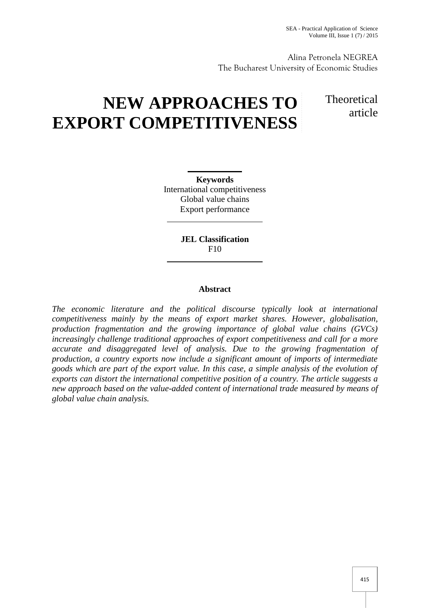Alina Petronela NEGREA The Bucharest University of Economic Studies

# **NEW APPROACHES TO EXPORT COMPETITIVENESS**

**Theoretical** article

**Keywords** International competitiveness Global value chains Export performance

> **JEL Classification** F10

# **Abstract**

*The economic literature and the political discourse typically look at international competitiveness mainly by the means of export market shares. However, globalisation, production fragmentation and the growing importance of global value chains (GVCs) increasingly challenge traditional approaches of export competitiveness and call for a more accurate and disaggregated level of analysis. Due to the growing fragmentation of production, a country exports now include a significant amount of imports of intermediate goods which are part of the export value. In this case, a simple analysis of the evolution of exports can distort the international competitive position of a country. The article suggests a new approach based on the value-added content of international trade measured by means of global value chain analysis.*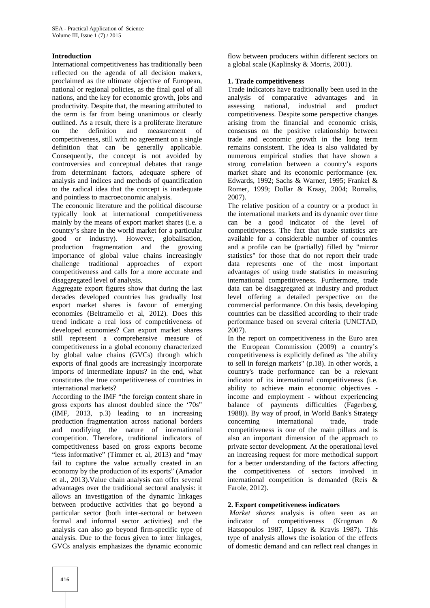### **Introduction**

International competitiveness has traditionally been reflected on the agenda of all decision makers, proclaimed as the ultimate objective of European, national or regional policies, as the final goal of all nations, and the key for economic growth, jobs and productivity. Despite that, the meaning attributed to the term is far from being unanimous or clearly outlined. As a result, there is a proliferate literature on the definition and measurement of competitiveness, still with no agreement on a single definition that can be generally applicable. Consequently, the concept is not avoided by controversies and conceptual debates that range from determinant factors, adequate sphere of analysis and indices and methods of quantification to the radical idea that the concept is inadequate and pointless to macroeconomic analysis.

The economic literature and the political discourse typically look at international competitiveness mainly by the means of export market shares (i.e. a country's share in the world market for a particular good or industry). However, globalisation, production fragmentation and the growing importance of global value chains increasingly challenge traditional approaches of export competitiveness and calls for a more accurate and disaggregated level of analysis.

Aggregate export figures show that during the last decades developed countries has gradually lost export market shares is favour of emerging economies (Beltramello et al, 2012). Does this trend indicate a real loss of competitiveness of developed economies? Can export market shares still represent a comprehensive measure of competitiveness in a global economy characterized by global value chains (GVCs) through which exports of final goods are increasingly incorporate imports of intermediate inputs? In the end, what constitutes the true competitiveness of countries in international markets?

According to the IMF "the foreign content share in gross exports has almost doubled since the '70s" (IMF, 2013, p.3) leading to an increasing production fragmentation across national borders and modifying the nature of international competition. Therefore, traditional indicators of competitiveness based on gross exports become "less informative" (Timmer et. al, 2013) and "may fail to capture the value actually created in an economy by the production of its exports" (Amador et al., 2013).Value chain analysis can offer several advantages over the traditional sectoral analysis: it allows an investigation of the dynamic linkages between productive activities that go beyond a particular sector (both inter-sectoral or between formal and informal sector activities) and the analysis can also go beyond firm-specific type of analysis. Due to the focus given to inter linkages, GVCs analysis emphasizes the dynamic economic

flow between producers within different sectors on a global scale (Kaplinsky & Morris, 2001).

### **1. Trade competitiveness**

Trade indicators have traditionally been used in the analysis of comparative advantages and in assessing national, industrial and product competitiveness. Despite some perspective changes arising from the financial and economic crisis, consensus on the positive relationship between trade and economic growth in the long term remains consistent. The idea is also validated by numerous empirical studies that have shown a strong correlation between a country's exports market share and its economic performance (ex. Edwards, 1992; Sachs & Warner, 1995; Frankel & Romer, 1999; Dollar & Kraay, 2004; Romalis, 2007).

The relative position of a country or a product in the international markets and its dynamic over time can be a good indicator of the level of competitiveness. The fact that trade statistics are available for a considerable number of countries and a profile can be (partially) filled by "mirror statistics" for those that do not report their trade data represents one of the most important advantages of using trade statistics in measuring international competitiveness. Furthermore, trade data can be disaggregated at industry and product level offering a detailed perspective on the commercial performance. On this basis, developing countries can be classified according to their trade performance based on several criteria (UNCTAD, 2007).

In the report on competitiveness in the Euro area the European Commission (2009) a country's competitiveness is explicitly defined as "the ability to sell in foreign markets" (p.18). In other words, a country's trade performance can be a relevant indicator of its international competitiveness (i.e. ability to achieve main economic objectives income and employment - without experiencing balance of payments difficulties (Fagerberg, 1988)). By way of proof, in World Bank's Strategy concerning international trade, trade competitiveness is one of the main pillars and is also an important dimension of the approach to private sector development. At the operational level an increasing request for more methodical support for a better understanding of the factors affecting the competitiveness of sectors involved in international competition is demanded (Reis & Farole, 2012).

# **2. Export competitiveness indicators**

*Market shares* analysis is often seen as an indicator of competitiveness (Krugman & Hatsopoulos 1987, Lipsey & Kravis 1987). This type of analysis allows the isolation of the effects of domestic demand and can reflect real changes in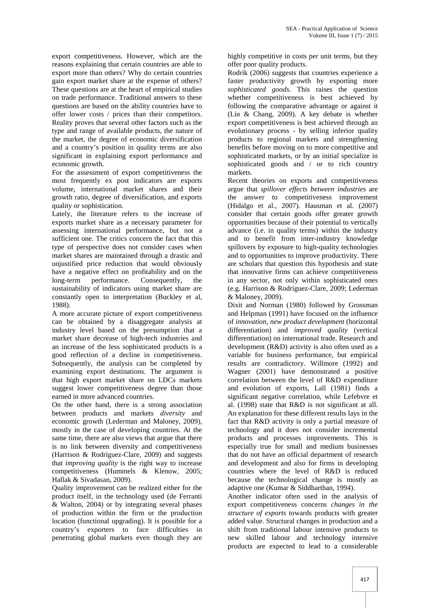export competitiveness. However, which are the reasons explaining that certain countries are able to export more than others? Why do certain countries gain export market share at the expense of others? These questions are at the heart of empirical studies on trade performance. Traditional answers to these questions are based on the ability countries have to offer lower costs / prices than their competitors. Reality proves that several other factors such as the type and range of available products, the nature of the market, the degree of economic diversification and a country's position in quality terms are also significant in explaining export performance and economic growth.

For the assessment of export competitiveness the most frequently ex post indicators are exports volume, international market shares and their growth ratio, degree of diversification, and exports quality or sophistication.

Lately, the literature refers to the increase of exports market share as a necessary parameter for assessing international performance, but not a sufficient one. The critics concern the fact that this type of perspective does not consider cases when market shares are maintained through a drastic and unjustified price reduction that would obviously have a negative effect on profitability and on the long-term performance. Consequently, the sustainability of indicators using market share are constantly open to interpretation (Buckley et al, 1988).

A more accurate picture of export competitiveness can be obtained by a disaggregate analysis at industry level based on the presumption that a market share decrease of high-tech industries and an increase of the less sophisticated products is a good reflection of a decline in competitiveness. Subsequently, the analysis can be completed by examining export destinations. The argument is that high export market share on LDCs markets suggest lower competitiveness degree than those earned in more advanced countries.

On the other hand*,* there is a strong association between products and markets *diversity* and economic growth (Lederman and Maloney, 2009), mostly in the case of developing countries. At the same time, there are also views that argue that there is no link between diversity and competitiveness (Harrison & Rodríguez-Clare, 2009) and suggests that *improving quality* is the right way to increase competitiveness (Hummels & Klenow, 2005; Hallak & Sivadasan, 2009).

Quality improvement can be realized either for the product itself, in the technology used (de Ferranti & Walton, 2004) or by integrating several phases of production within the firm or the production location (functional upgrading). It is possible for a country's exporters to face difficulties in penetrating global markets even though they are highly competitive in costs per unit terms, but they offer poor quality products.

Rodrik (2006) suggests that countries experience a faster productivity growth by exporting more *sophisticated goods*. This raises the question whether competitiveness is best achieved by following the comparative advantage or against it (Lin & Chang, 2009). A key debate is whether export competitiveness is best achieved through an evolutionary process - by selling inferior quality products to regional markets and strengthening benefits before moving on to more competitive and sophisticated markets, or by an initial specialize in sophisticated goods and / or to rich country markets.

Recent theories on exports and competitiveness argue that *spillover effects between industries* are the answer to competitiveness improvement (Hidalgo et al., 2007). Hausman et al. (2007) consider that certain goods offer greater growth opportunities because of their potential to vertically advance (i.e. in quality terms) within the industry and to benefit from inter-industry knowledge spillovers by exposure to high-quality technologies and to opportunities to improve productivity. There are scholars that question this hypothesis and state that innovative firms can achieve competitiveness in any sector, not only within sophisticated ones (e.g. Harrison & Rodríguez-Clare, 2009; Lederman & Maloney, 2009).

Dixit and Norman (1980) followed by Grossman and Helpman (1991) have focused on the influence of *innovation*, *new product development* (horizontal differentiation) and *improved quality* (vertical differentiation) on international trade. Research and development (R&D) activity is also often used as a variable for business performance, but empirical results are contradictory. Willmore (1992) and Wagner (2001) have demonstrated a positive correlation between the level of R&D expenditure and evolution of exports, Lall (1981) finds a significant negative correlation, while Lefebvre et al. (1998) state that R&D is not significant at all. An explanation for these different results lays in the fact that R&D activity is only a partial measure of technology and it does not consider incremental products and processes improvements. This is especially true for small and medium businesses that do not have an official department of research and development and also for firms in developing countries where the level of R&D is reduced because the technological change is mostly an adaptive one (Kumar & Siddharthan, 1994).

Another indicator often used in the analysis of export competitiveness concerns *changes in the structure of exports* towards products with greater added value. Structural changes in production and a shift from traditional labour intensive products to new skilled labour and technology intensive products are expected to lead to a considerable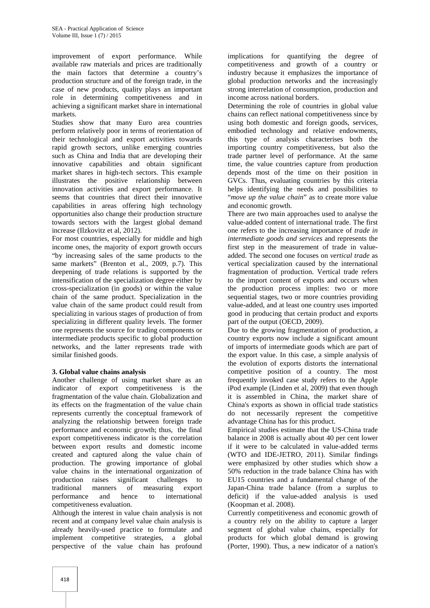improvement of export performance. While available raw materials and prices are traditionally the main factors that determine a country's production structure and of the foreign trade, in the case of new products, quality plays an important role in determining competitiveness and in achieving a significant market share in international markets.

Studies show that many Euro area countries perform relatively poor in terms of reorientation of their technological and export activities towards rapid growth sectors, unlike emerging countries such as China and India that are developing their innovative capabilities and obtain significant market shares in high-tech sectors. This example illustrates the positive relationship between innovation activities and export performance. It seems that countries that direct their innovative capabilities in areas offering high technology opportunities also change their production structure towards sectors with the largest global demand increase (Ilzkovitz et al, 2012).

For most countries, especially for middle and high income ones, the majority of export growth occurs "by increasing sales of the same products to the same markets" (Brenton et al., 2009, p.7). This deepening of trade relations is supported by the intensification of the specialization degree either by cross-specialization (in goods) or within the value chain of the same product. Specialization in the value chain of the same product could result from specializing in various stages of production of from specializing in different quality levels. The former one represents the source for trading components or intermediate products specific to global production networks, and the latter represents trade with similar finished goods.

# **3. Global value chains analysis**

Another challenge of using market share as an indicator of export competitiveness is the fragmentation of the value chain. Globalization and its effects on the fragmentation of the value chain represents currently the conceptual framework of analyzing the relationship between foreign trade performance and economic growth; thus, the final export competitiveness indicator is the correlation between export results and domestic income created and captured along the value chain of production. The growing importance of global value chains in the international organization of production raises significant challenges to traditional manners of measuring export performance and hence to international competitiveness evaluation.

Although the interest in value chain analysis is not recent and at company level value chain analysis is already heavily-used practice to formulate and implement competitive strategies, a global perspective of the value chain has profound

implications for quantifying the degree of competitiveness and growth of a country or industry because it emphasizes the importance of global production networks and the increasingly strong interrelation of consumption, production and income across national borders.

Determining the role of countries in global value chains can reflect national competitiveness since by using both domestic and foreign goods, services, embodied technology and relative endowments, this type of analysis characterises both the importing country competitiveness, but also the trade partner level of performance. At the same time, the value countries capture from production depends most of the time on their position in GVCs. Thus, evaluating countries by this criteria helps identifying the needs and possibilities to "*move up the value chain*" as to create more value and economic growth.

There are two main approaches used to analyse the value-added content of international trade. The first one refers to the increasing importance of *trade in intermediate goods and services* and represents the first step in the measurement of trade in value added. The second one focuses on *vertical trade* as vertical specialization caused by the international fragmentation of production. Vertical trade refers to the import content of exports and occurs when the production process implies: two or more sequential stages, two or more countries providing value-added, and at least one country uses imported good in producing that certain product and exports part of the output (OECD, 2009).

Due to the growing fragmentation of production, a country exports now include a significant amount of imports of intermediate goods which are part of the export value. In this case, a simple analysis of the evolution of exports distorts the international competitive position of a country. The most frequently invoked case study refers to the Apple iPod example (Linden et al, 2009) that even though it is assembled in China, the market share of China's exports as shown in official trade statistics do not necessarily represent the competitive advantage China has for this product.

Empirical studies estimate that the US-China trade balance in 2008 is actually about 40 per cent lower if it were to be calculated in value-added terms (WTO and IDE-JETRO, 2011). Similar findings were emphasized by other studies which show a 50% reduction in the trade balance China has with EU15 countries and a fundamental change of the Japan-China trade balance (from a surplus to deficit) if the value-added analysis is used (Koopman et al. 2008).

Currently competitiveness and economic growth of a country rely on the ability to capture a larger segment of global value chains, especially for products for which global demand is growing (Porter, 1990). Thus, a new indicator of a nation's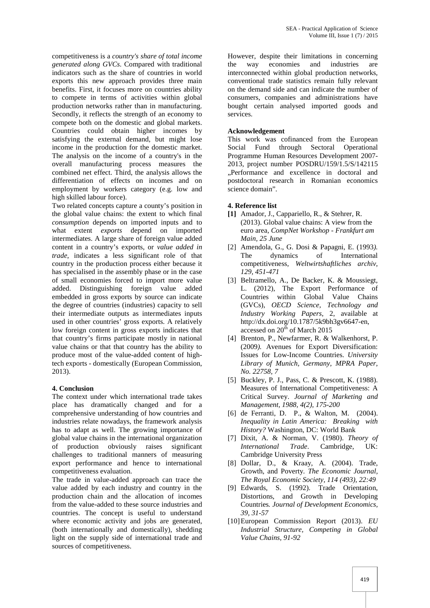competitiveness is a *country's share of total income generated along GVCs*. Compared with traditional indicators such as the share of countries in world exports this new approach provides three main benefits. First, it focuses more on countries ability to compete in terms of activities within global production networks rather than in manufacturing. Secondly, it reflects the strength of an economy to compete both on the domestic and global markets. Countries could obtain higher incomes by satisfying the external demand, but might lose income in the production for the domestic market. The analysis on the income of a country's in the overall manufacturing process measures the combined net effect. Third, the analysis allows the differentiation of effects on incomes and on employment by workers category (e.g. low and high skilled labour force).

Two related concepts capture a county's position in the global value chains: the extent to which final *consumption* depends on imported inputs and to what extent *exports* depend on imported intermediates. A large share of foreign value added content in a country's exports, or *value added in trade*, indicates a less significant role of that country in the production process either because it has specialised in the assembly phase or in the case of small economies forced to import more value added. Distinguishing foreign value added embedded in gross exports by source can indicate the degree of countries (industries) capacity to sell their intermediate outputs as intermediates inputs used in other countries' gross exports. A relatively low foreign content in gross exports indicates that that country's firms participate mostly in national value chains or that that country has the ability to produce most of the value-added content of hightech exports - domestically (European Commission, 2013).

#### **4. Conclusion**

The context under which international trade takes place has dramatically changed and for a comprehensive understanding of how countries and industries relate nowadays, the framework analysis has to adapt as well. The growing importance of global value chains in the international organization of production obviously raises significant challenges to traditional manners of measuring export performance and hence to international competitiveness evaluation.

The trade in value-added approach can trace the value added by each industry and country in the production chain and the allocation of incomes from the value-added to these source industries and countries. The concept is useful to understand where economic activity and jobs are generated, (both internationally and domestically), shedding light on the supply side of international trade and sources of competitiveness.

However, despite their limitations in concerning the way economies and industries are interconnected within global production networks, conventional trade statistics remain fully relevant on the demand side and can indicate the number of consumers, companies and administrations have bought certain analysed imported goods and services.

#### **Acknowledgement**

This work was cofinanced from the European Social Fund through Sectoral Operational Programme Human Resources Development 2007- 2013, project number POSDRU/159/1.5/S/142115 ..Performance and excellence in doctoral and postdoctoral research in Romanian economics science domain".

#### **4. Reference list**

- **[1]** Amador, J., Cappariello, R., & Stehrer, R. (2013). Global value chains: A view from the euro area*, CompNet Workshop - Frankfurt am Main, 25 June*
- [2] Amendola, G., G. Dosi & Papagni, E. (1993*).* The dynamics of International competitiveness*, Weltwirtshaftliches archiv, 129, 451-471*
- [3] Beltramello, A., De Backer, K. & Moussiegt, L. (2012), The Export Performance of Countries within Global Value Chains (GVCs), *OECD Science, Technology and Industry Working Papers*, 2, available at http://dx.doi.org/10.1787/5k9bh3gv6647-en, accessed on  $20<sup>th</sup>$  of March 2015
- [4] Brenton, P., Newfarmer, R. & Walkenhorst, P. (2009*).* Avenues for Export Diversification: Issues for Low-Income Countries. *University Library of Munich, Germany, MPRA Paper, No. 22758, 7*
- [5] Buckley, P. J., Pass, C. & Prescott, K. (1988). Measures of International Competitiveness: A Critical Survey. *Journal of Marketing and Management, 1988, 4(2), 175-200*
- [6] de Ferranti, D. P., & Walton, M. (2004). *Inequality in Latin America: Breaking with History?* Washington, DC: World Bank
- [7] Dixit, A. & Norman, V. (1980). *Theory of International Trade*. Cambridge, UK: Cambridge University Press
- [8] Dollar, D., & Kraay, A. (2004). Trade, Growth, and Poverty*. The Economic Journal, The Royal Economic Society, 114 (493), 22:49*
- [9] Edwards, S. (1992). Trade Orientation, Distortions, and Growth in Developing Countries*. Journal of Development Economics, 39, 31-57*
- [10]European Commission Report (2013). *EU Industrial Structure, Competing in Global Value Chains, 91-92*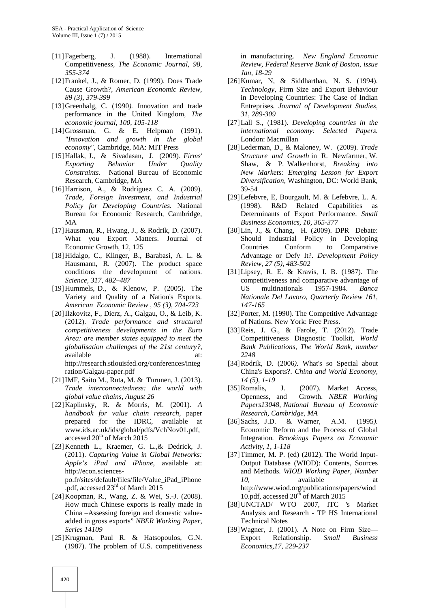- [11]Fagerberg, J. (1988). International Competitiveness*, The Economic Journal, 98, 355-374*
- [12]Frankel, J., & Romer, D. (1999). Does Trade Cause Growth?*, American Economic Review, 89 (3), 379-399*
- [13]Greenhalg, C. (1990*).* Innovation and trade performance in the United Kingdom*, The economic journal, 100, 105-118*
- [14]Grossman, G. & E. Helpman (1991). *"Innovation and growth in the global economy",* Cambridge, MA: MIT Press
- [15]Hallak, J., & Sivadasan, J. (2009). *Firms' Exporting Behavior Under Quality Constraints.* National Bureau of Economic Research, Cambridge, MA
- [16]Harrison, A., & Rodríguez C. A. (2009). *Trade, Foreign Investment, and Industrial Policy for Developing Countries.* National Bureau for Economic Research, Cambridge, MA
- [17]Hausman, R., Hwang, J., & Rodrik, D. (2007). What you Export Matters. Journal of Economic Growth, 12, 125
- [18]Hidalgo, C., Klinger, B., Barabasi, A. L. & Hausmann, R. (2007). The product space conditions the development of nations. *Science, 317, 482–487*
- [19]Hummels, D., & Klenow, P. (2005). The Variety and Quality of a Nation's Exports*. American Economic Review , 95 (3), 704-723*
- [20]Ilzkovitz, F., Dierz, A., Galgau, O., & Leib, K. (2012). *Trade performance and structural competitiveness developments in the Euro Area: are member states equipped to meet the globalisation challenges of the 21st century?*, available at: http://research.stlouisfed.org/conferences/integ ration/Galgau-paper.pdf
- [21]IMF, Saito M., Ruta, M. & Turunen, J. (2013). *Trade interconnectedness: the world with global value chains, August 26*
- [22]Kaplinsky, R. & Morris, M. (2001). *A handbook for value chain research*, paper prepared for the IDRC, available at www.ids.ac.uk/ids/global/pdfs/VchNov01.pdf, accessed 20<sup>th</sup> of March 2015
- [23]Kenneth L., Kraemer, G. L.,& Dedrick, J. (2011). *Capturing Value in Global Networks: Apple's iPad and iPhone,* available at: http://econ.sciences po.fr/sites/default/files/file/Value\_iPad\_iPhone .pdf, accessed 23rd of March 2015
- [24]Koopman, R., Wang, Z. & Wei, S.-J. (2008). How much Chinese exports is really made in China –Assessing foreign and domestic value added in gross exports" *NBER Working Paper, Series 14109*
- [25]Krugman, Paul R. & Hatsopoulos, G.N. (1987). The problem of U.S. competitiveness

in manufacturing*. New England Economic Review, Federal Reserve Bank of Boston, issue Jan, 18-29*

- [26]Kumar, N, & Siddharthan, N. S. (1994). *Technology*, Firm Size and Export Behaviour in Developing Countries: The Case of Indian Entreprises*. Journal of Development Studies, 31, 289-309*
- [27]Lall S., (1981). *Developing countries in the international economy: Selected Papers.* London: Macmillan
- [28]Lederman, D., & Maloney, W. (2009). *Trade Structure and Growth* in R. Newfarmer, W. Shaw, & P. Walkenhorst, *Breaking into New Markets: Emerging Lesson for Export Diversification*, Washington, DC: World Bank, 39-54
- [29]Lefebvre, E, Bourgault, M. & Lefebvre, L. A. (1998). R&D Related Capabilities as Determinants of Export Performance. *Small Business Economics, 10, 365-377*
- [30]Lin, J., & Chang, H. (2009). DPR Debate: Should Industrial Policy in Developing Countries Conform to Comparative Advantage or Defy It?. *Development Policy Review, 27 (5), 483-502*
- [31]Lipsey, R. E. & Kravis, I. B. (1987). The competitiveness and comparative advantage of US multinationals 1957-1984. *Banca Nationale Del Lavoro, Quarterly Review 161, 147-165*
- [32] Porter, M. (1990). The Competitive Advantage of Nations. New York: Free Press.
- [33]Reis, J. G., & Farole, T. (2012). Trade Competitiveness Diagnostic Toolkit, *World Bank Publications*, *The World Bank, number 2248*
- [34]Rodrik, D. (2006*).* What's so Special about China's Exports?. *China and World Economy, 14 (5), 1-19*
- J. (2007). Market Access, Openness, and Growth. *NBER Working Papers13048, National Bureau of Economic Research, Cambridge, MA*
- [36]Sachs, J.D. & Warner, A.M. (1995*).* Economic Reform and the Process of Global Integration*. Brookings Papers on Economic Activity, 1, 1-118*
- [37] Timmer, M. P. (ed) (2012). The World Input-Output Database (WIOD): Contents, Sources and Methods. *WIOD Working Paper, Number 10,* available at http://www.wiod.org/publications/papers/wiod 10.pdf, accessed  $20<sup>th</sup>$  of March 2015
- [38]UNCTAD/ WTO 2007, ITC 's Market Analysis and Research - TP HS International Technical Notes
- [39]Wagner, J. (2001). A Note on Firm Size— Export Relationship. *Small Business Economics,17, 229-237*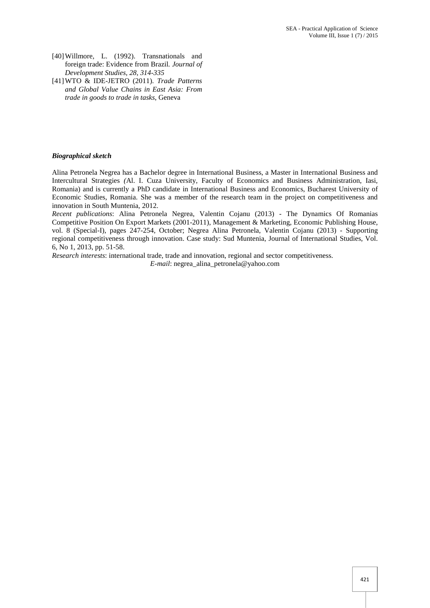- [40]Willmore, L. (1992). Transnationals and foreign trade: Evidence from Brazil*. Journal of Development Studies, 28, 314-335*
- [41]WTO & IDE-JETRO (2011). *Trade Patterns and Global Value Chains in East Asia: From trade in goods to trade in tasks*, Geneva

#### *Biographical sketch*

Alina Petronela Negrea has a Bachelor degree in International Business, a Master in International Business and Intercultural Strategies *(*Al. I. Cuza University, Faculty of Economics and Business Administration, Iasi, Romania) and is currently a PhD candidate in International Business and Economics, Bucharest University of Economic Studies, Romania. She was a member of the research team in the project on competitiveness and innovation in South Muntenia, 2012.

*Recent publications*: Alina Petronela Negrea, Valentin Cojanu (2013) - The Dynamics Of Romanias Competitive Position On Export Markets (2001-2011), Management & Marketing, Economic Publishing House, vol. 8 (Special-I), pages 247-254, October; Negrea Alina Petronela, Valentin Cojanu (2013) - Supporting regional competitiveness through innovation. Case study: Sud Muntenia, Journal of International Studies, Vol. 6, No 1, 2013, pp. 51-58.

*Research interests*: international trade, trade and innovation, regional and sector competitiveness.

*E-mail*: negrea\_alina\_petronela@yahoo.com